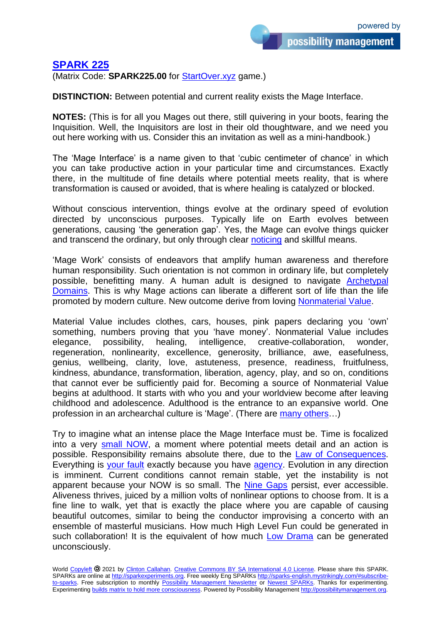## **[SPARK 225](https://sparks-english.mystrikingly.com/)**

(Matrix Code: **SPARK225.00** for [StartOver.xyz](http://startoverxyz.mystrikingly.com/) game.)

**DISTINCTION:** Between potential and current reality exists the Mage Interface.

**NOTES:** (This is for all you Mages out there, still quivering in your boots, fearing the Inquisition. Well, the Inquisitors are lost in their old thoughtware, and we need you out here working with us. Consider this an invitation as well as a mini-handbook.)

The 'Mage Interface' is a name given to that 'cubic centimeter of chance' in which you can take productive action in your particular time and circumstances. Exactly there, in the multitude of fine details where potential meets reality, that is where transformation is caused or avoided, that is where healing is catalyzed or blocked.

Without conscious intervention, things evolve at the ordinary speed of evolution directed by unconscious purposes. Typically life on Earth evolves between generations, causing 'the generation gap'. Yes, the Mage can evolve things quicker and transcend the ordinary, but only through clear [noticing](http://noticing.mystrikingly.com/) and skillful means.

'Mage Work' consists of endeavors that amplify human awareness and therefore human responsibility. Such orientation is not common in ordinary life, but completely possible, benefitting many. A human adult is designed to navigate [Archetypal](http://archetypaldomains.mystrikingly.com/) [Domains.](http://archetypaldomains.mystrikingly.com/) This is why Mage actions can liberate a different sort of life than the life promoted by modern culture. New outcome derive from loving [Nonmaterial Value.](http://nonmaterialvalue.mystrikingly.com/)

Material Value includes clothes, cars, houses, pink papers declaring you 'own' something, numbers proving that you 'have money'. Nonmaterial Value includes elegance, possibility, healing, intelligence, creative-collaboration, wonder, regeneration, nonlinearity, excellence, generosity, brilliance, awe, easefulness, genius, wellbeing, clarity, love, astuteness, presence, readiness, fruitfulness, kindness, abundance, transformation, liberation, agency, play, and so on, conditions that cannot ever be sufficiently paid for. Becoming a source of Nonmaterial Value begins at adulthood. It starts with who you and your worldview become after leaving childhood and adolescence. Adulthood is the entrance to an expansive world. One profession in an archearchal culture is 'Mage'. (There are [many others…](https://possibilitatortraining.mystrikingly.com/#specialties))

Try to imagine what an intense place the Mage Interface must be. Time is focalized into a very [small NOW,](http://minimizenow.mystrikingly.com/) a moment where potential meets detail and an action is possible. Responsibility remains absolute there, due to the [Law of Consequences.](http://consequences.mystrikingly.com/) Everything is [your fault](http://radicalresponsibility.mystrikingly.com/) exactly because you have [agency.](http://personofagency.mystrikingly.com/) Evolution in any direction is imminent. Current conditions cannot remain stable, yet the instability is not apparent because your NOW is so small. The [Nine Gaps](http://9gaps.mystrikingly.com/) persist, ever accessible. Aliveness thrives, juiced by a million volts of nonlinear options to choose from. It is a fine line to walk, yet that is exactly the place where you are capable of causing beautiful outcomes, similar to being the conductor improvising a concerto with an ensemble of masterful musicians. How much High Level Fun could be generated in such collaboration! It is the equivalent of how much [Low Drama](http://mapofpossibility.mystrikingly.com/) can be generated unconsciously.

World [Copyleft](https://en.wikipedia.org/wiki/Copyleft) <sup>2</sup>0 2021 by [Clinton Callahan.](http://clintoncallahan.mystrikingly.com/) Creative Commons [BY SA International 4.0](https://creativecommons.org/licenses/by-sa/4.0/) License. Please share this SPARK. SPARKs are online at [http://sparkexperiments.org.](http://sparks-english.mystrikingly.com/) Free weekly Eng SPARKs [http://sparks-english.mystrikingly.com/#subscribe](http://sparks-english.mystrikingly.com/#subscribe-to-sparks)[to-sparks.](http://sparks-english.mystrikingly.com/#subscribe-to-sparks) Free subscription to monthly [Possibility Management Newsletter](https://possibilitymanagement.org/news/) or Newest [SPARKs.](https://www.clintoncallahan.org/newsletter-1) Thanks for experimenting. Experimenting builds matrix to hold [more consciousness.](http://spaceport.mystrikingly.com/) Powered by Possibility Management [http://possibilitymanagement.org.](http://possibilitymanagement.org/)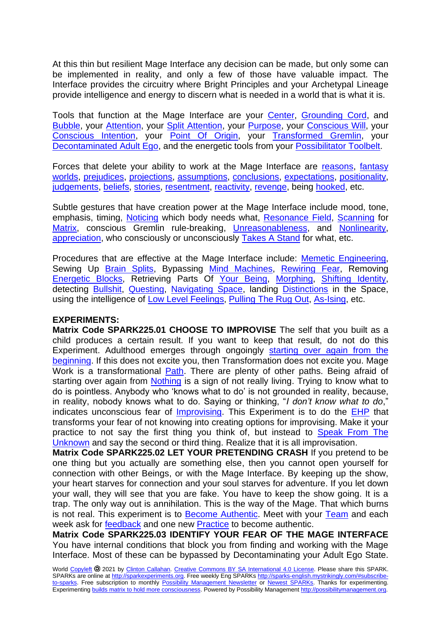At this thin but resilient Mage Interface any decision can be made, but only some can be implemented in reality, and only a few of those have valuable impact. The Interface provides the circuitry where Bright Principles and your Archetypal Lineage provide intelligence and energy to discern what is needed in a world that is what it is.

Tools that function at the Mage Interface are your [Center,](http://becomecentered.mystrikingly.com/) [Grounding Cord,](http://becomegrounded.mystrikingly.com/) and [Bubble,](http://yourbubbleofspace.mystrikingly.com/) your [Attention,](http://yourattention.mystrikingly.com/) your [Split Attention,](http://splityourattention.mystrikingly.com/) your [Purpose,](http://purposesniffer.mystrikingly.com/) your [Conscious Will,](http://consciouswill.mystrikingly.com/) your [Conscious Intention,](http://intention.mystrikingly.com/) your [Point Of Origin,](http://pointoforigin.mystrikingly.com/) your [Transformed Gremlin,](http://gremlintransformation.mystrikingly.com/) your [Decontaminated Adult Ego,](http://decontaminations.mystrikingly.com/) and the energetic tools from your [Possibilitator](http://13tools.mystrikingly.com/) Toolbelt.

Forces that delete your ability to work at the Mage Interface are [reasons,](http://reasons.mystrikingly.com/) [fantasy](http://fantasyworlds.mystrikingly.com/)  [worlds,](http://fantasyworlds.mystrikingly.com/) [prejudices,](http://prejudices.mystrikingly.com/) [projections,](http://projections.mystrikingly.com/) [assumptions,](http://assumptions.mystrikingly.com/) [conclusions,](http://conclusions.mystrikingly.com/) [expectations,](http://expectations.mystrikingly.com/) [positionality,](http://positionality.mystrikingly.com/) [judgements,](http://judgements.mystrikingly.com/) [beliefs,](http://beliefs.mystrikingly.com/) [stories,](http://storyworld.mystrikingly.com/) [resentment,](http://resentment.mystrikingly.com/) [reactivity,](http://reactivity.mystrikingly.com/) [revenge,](http://revenge.mystrikingly.com/) being [hooked,](http://becomeunhookable.mystrikingly.com/) etc.

Subtle gestures that have creation power at the Mage Interface include mood, tone, emphasis, timing, [Noticing](http://noticing.mystrikingly.com/) which body needs what, [Resonance Field,](http://resonancefield.mystrikingly.com/) [Scanning](http://scanning.mystrikingly.com/) for [Matrix,](http://buildmatrix.mystrikingly.com/) conscious Gremlin rule-breaking, [Unreasonableness,](http://gounreasonable.mystrikingly.com/) and [Nonlinearity,](http://gononlinear.mystrikingly.com/) [appreciation,](http://declaring.mystrikingly.com/) who consciously or unconsciously Takes [A Stand](http://takeastand.mystrikingly.com/) for what, etc.

Procedures that are effective at the Mage Interface include: [Memetic Engineering,](http://memeticengineering.mystrikingly.com/) Sewing Up [Brain Splits,](http://brainsplits.mystrikingly.com/) Bypassing [Mind Machines,](http://mindmachine.mystrikingly.com/) [Rewiring Fear,](http://selfsurgery.mystrikingly.com/) Removing [Energetic Blocks,](http://energeticblock.mystrikingly.com/) Retrieving Parts Of [Your Being,](http://yourbeing.mystrikingly.com/) [Morphing,](http://morph.mystrikingly.com/) [Shifting Identity,](http://shiftidentity.mystrikingly.com/) detecting **Bullshit, [Questing,](http://yourquest.mystrikingly.com/) Navigating Space**, landing **Distinctions** in the Space, using the intelligence of [Low Level Feelings,](http://numbnessbar.mystrikingly.com/) Pulling [The Rug Out,](http://pulltherugout.mystrikingly.com/) [As-Ising,](http://asisprocess.mystrikingly.com/) etc.

## **EXPERIMENTS:**

**Matrix Code SPARK225.01 CHOOSE TO IMPROVISE** The self that you built as a child produces a certain result. If you want to keep that result, do not do this Experiment. Adulthood emerges through ongoingly starting [over again from the](http://phoenixprocess.mystrikingly.com/)  [beginning.](http://phoenixprocess.mystrikingly.com/) If this does not excite you, then Transformation does not excite you. Mage Work is a transformational [Path.](http://path.mystrikingly.com/) There are plenty of other paths. Being afraid of starting over again from [Nothing](http://nothingness.mystrikingly.com/) is a sign of not really living. Trying to know what to do is pointless. Anybody who 'knows what to do' is not grounded in reality, because, in reality, nobody knows what to do. Saying or thinking, "*I don't know what to do*," indicates unconscious fear of [Improvising.](http://improvise.mystrikingly.com/) This Experiment is to do the [EHP](http://ehpdojo.mystrikingly.com/) that transforms your fear of not knowing into creating options for improvising. Make it your practice to not say the first thing you think of, but instead to **Speak From The** [Unknown](http://speakfromtheunknown.mystrikingly.com/) and say the second or third thing. Realize that it is all improvisation.

**Matrix Code SPARK225.02 LET YOUR PRETENDING CRASH** If you pretend to be one thing but you actually are something else, then you cannot open yourself for connection with other Beings, or with the Mage Interface. By keeping up the show, your heart starves for connection and your soul starves for adventure. If you let down your wall, they will see that you are fake. You have to keep the show going. It is a trap. The only way out is annihilation. This is the way of the Mage. That which burns is not real. This experiment is to [Become Authentic.](http://becomeauthentic.mystrikingly.com/) Meet with your [Team](http://yourteams.mystrikingly.com/) and each week ask for [feedback](http://gobeepshiftgo.mystrikingly.com/) and one new [Practice](http://remindingfactor.mystrikingly.com/) to become authentic.

**Matrix Code SPARK225.03 IDENTIFY YOUR FEAR OF THE MAGE INTERFACE**  You have internal conditions that block you from finding and working with the Mage Interface. Most of these can be bypassed by Decontaminating your Adult Ego State.